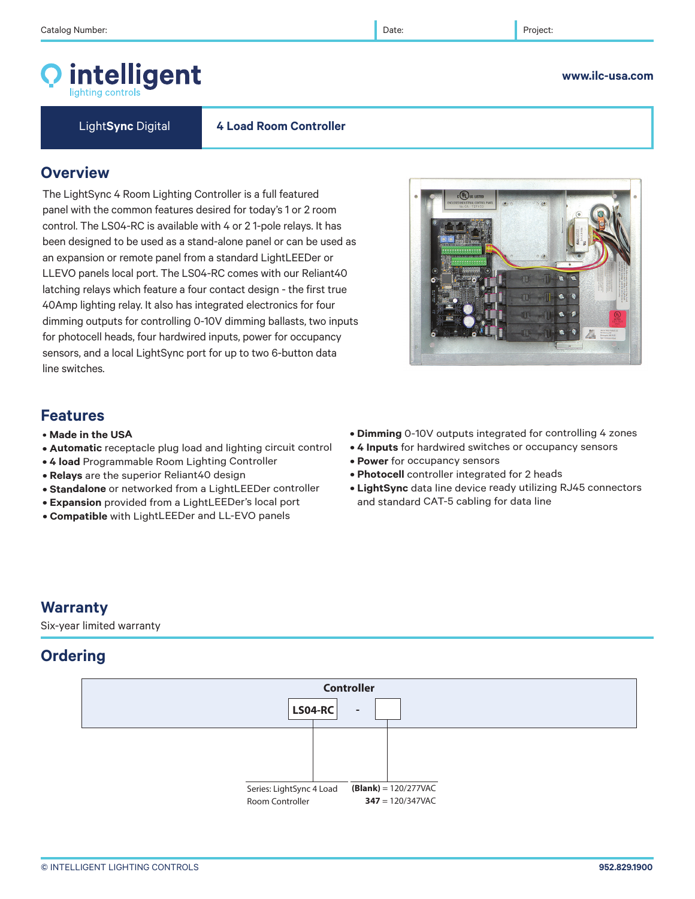## intelligent

Light**Sync** Digital **4 Load Room Controller**

### **Overview**

The LightSync 4 Room Lighting Controller is a full featured panel with the common features desired for today's 1 or 2 room control. The LS04-RC is available with 4 or 2 1-pole relays. It has been designed to be used as a stand-alone panel or can be used as an expansion or remote panel from a standard LightLEEDer or LLEVO panels local port. The LS04-RC comes with our Reliant40 latching relays which feature a four contact design - the first true 40Amp lighting relay. It also has integrated electronics for four dimming outputs for controlling 0-10V dimming ballasts, two inputs for photocell heads, four hardwired inputs, power for occupancy sensors, and a local LightSync port for up to two 6-button data line switches.

## **Features**

- **Made in the USA**
- **Automatic** receptacle plug load and lighting circuit control
- **4 load** Programmable Room Lighting Controller
- **Relays** are the superior Reliant40 design
- **Standalone** or networked from a LightLEEDer controller
- **Expansion** provided from a LightLEEDer's local port
- **Compatible** with LightLEEDer and LL-EVO panels
- **Dimming** 0-10V outputs integrated for controlling 4 zones
- **4 Inputs** for hardwired switches or occupancy sensors
- **Power** for occupancy sensors
- **Photocell** controller integrated for 2 heads
- **LightSync** data line device ready utilizing RJ45 connectors and standard CAT-5 cabling for data line

## **Warranty**

Six-year limited warranty

## **Ordering**